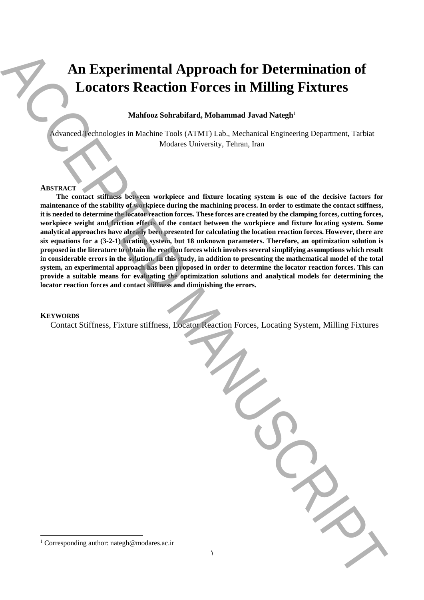# **An Experimental Approach for Determination of Locators Reaction Forces in Milling Fixtures**

#### **ABSTRACT**

#### **KEYWORDS**

|                 | Mahfooz Sohrabifard, Mohammad Javad Nategh <sup>1</sup>                                                                                                                                                                                                                                                                                                                                                                                                                                                                                                                                                                                                                                                                                                                                                                                                                                                                                                                                                                                                                                                                                                                                                                                                                         |
|-----------------|---------------------------------------------------------------------------------------------------------------------------------------------------------------------------------------------------------------------------------------------------------------------------------------------------------------------------------------------------------------------------------------------------------------------------------------------------------------------------------------------------------------------------------------------------------------------------------------------------------------------------------------------------------------------------------------------------------------------------------------------------------------------------------------------------------------------------------------------------------------------------------------------------------------------------------------------------------------------------------------------------------------------------------------------------------------------------------------------------------------------------------------------------------------------------------------------------------------------------------------------------------------------------------|
|                 | Advanced Technologies in Machine Tools (ATMT) Lab., Mechanical Engineering Department, Tarbiat<br>Modares University, Tehran, Iran                                                                                                                                                                                                                                                                                                                                                                                                                                                                                                                                                                                                                                                                                                                                                                                                                                                                                                                                                                                                                                                                                                                                              |
| <b>ABSTRACT</b> | The contact stiffness between workpiece and fixture locating system is one of the decisive factors for<br>maintenance of the stability of workpiece during the machining process. In order to estimate the contact stiffness,<br>it is needed to determine the locator reaction forces. These forces are created by the clamping forces, cutting forces,<br>workpiece weight and friction effects of the contact between the workpiece and fixture locating system. Some<br>analytical approaches have already been presented for calculating the location reaction forces. However, there are<br>six equations for a (3-2-1) locating system, but 18 unknown parameters. Therefore, an optimization solution is<br>proposed in the literature to obtain the reaction forces which involves several simplifying assumptions which result<br>in considerable errors in the solution. In this study, in addition to presenting the mathematical model of the total<br>system, an experimental approach has been proposed in order to determine the locator reaction forces. This can<br>provide a suitable means for evaluating the optimization solutions and analytical models for determining the<br>locator reaction forces and contact stiffness and diminishing the errors. |
| <b>KEYWORDS</b> | Contact Stiffness, Fixture stiffness, Locator Reaction Forces, Locating System, Milling Fixtures                                                                                                                                                                                                                                                                                                                                                                                                                                                                                                                                                                                                                                                                                                                                                                                                                                                                                                                                                                                                                                                                                                                                                                                |
|                 |                                                                                                                                                                                                                                                                                                                                                                                                                                                                                                                                                                                                                                                                                                                                                                                                                                                                                                                                                                                                                                                                                                                                                                                                                                                                                 |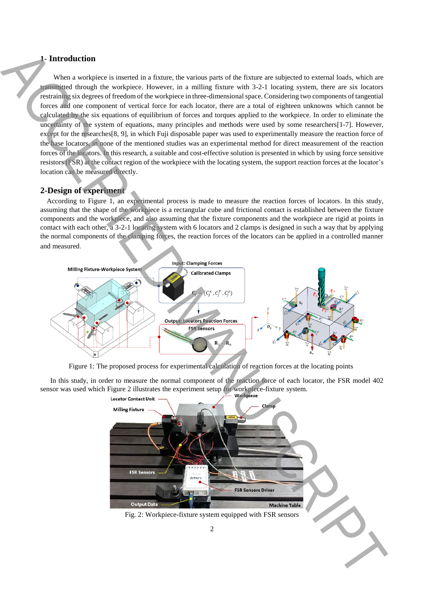## **1- Introduction**

When a workpiece is inserted in a fixture, the various parts of the fixture are subjected to external loads, which are transmitted through the workpiece. However, in a milling fixture with 3-2-1 locating system, there are six locators restraining six degrees of freedom of the workpiece in three-dimensional space. Considering two components of tangential forces and one component of vertical force for each locator, there are a total of eighteen unknowns which cannot be calculated by the six equations of equilibrium of forces and torques applied to the workpiece. In order to eliminate the uncertainty of the system of equations, many principles and methods were used by some researchers[1-7]. However, except for the researches[8, 9], in which Fuji disposable paper was used to experimentally measure the reaction force of the base locators, in none of the mentioned studies was an experimental method for direct measurement of the reaction forces of the locators. In this research, a suitable and cost-effective solution is presented in which by using force sensitive resistors (FSR) at the contact region of the workpiece with the locating system, the support reaction forces at the locator's location can be measured directly.

#### **2-Design of experiment**

According to Figure 1, an experimental process is made to measure the reaction forces of locators. In this study, assuming that the shape of the workpiece is a rectangular cube and frictional contact is established between the fixture components and the workpiece, and also assuming that the fixture components and the workpiece are rigid at points in contact with each other, a 3-2-1 locating system with 6 locators and 2 clamps is designed in such a way that by applying the normal components of the clamping forces, the reaction forces of the locators can be applied in a controlled manner and measured.



Figure 1: The proposed process for experimental calculation of reaction forces at the locating points

In this study, in order to measure the normal component of the reaction force of each locator, the FSR model 402 sensor was used which Figure 2 illustrates the experiment setup for workpiece-fixture system.